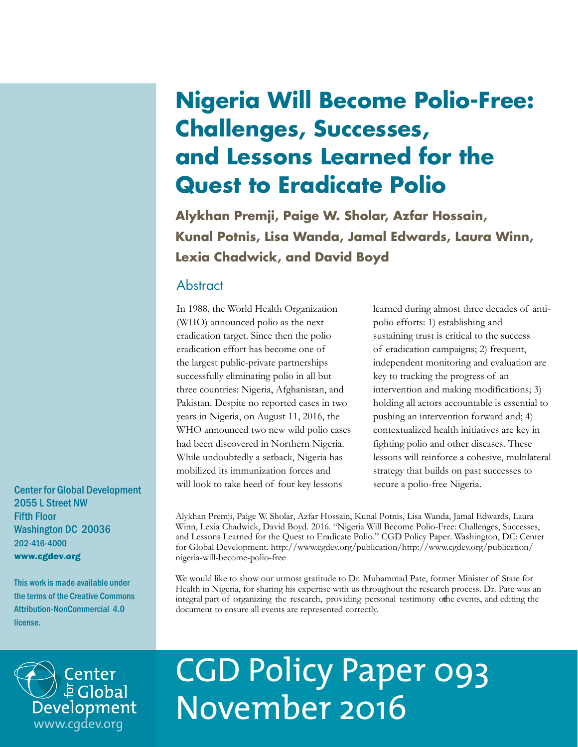## **Nigeria Will Become Polio-Free: Challenges, Successes, and Lessons Learned for the Quest to Eradicate Polio**

**Alykhan Premji, Paige W. Sholar, Azfar Hossain, Kunal Potnis, Lisa Wanda, Jamal Edwards, Laura Winn, Lexia Chadwick, and David Boyd**

## **Abstract**

In 1988, the World Health Organization (WHO) announced polio as the next eradication target. Since then the polio eradication effort has become one of the largest public-private partnerships successfully eliminating polio in all but three countries: Nigeria, Afghanistan, and Pakistan. Despite no reported cases in two years in Nigeria, on August 11, 2016, the WHO announced two new wild polio cases had been discovered in Northern Nigeria. While undoubtedly a setback, Nigeria has mobilized its immunization forces and will look to take heed of four key lessons

learned during almost three decades of antipolio efforts: 1) establishing and sustaining trust is critical to the success of eradication campaigns; 2) frequent, independent monitoring and evaluation are key to tracking the progress of an intervention and making modifications; 3) holding all actors accountable is essential to pushing an intervention forward and; 4) contextualized health initiatives are key in fighting polio and other diseases. These lessons will reinforce a cohesive, multilateral strategy that builds on past successes to secure a polio-free Nigeria.

Alykhan Premji, Paige W. Sholar, Azfar Hossain, Kunal Potnis, Lisa Wanda, Jamal Edwards, Laura Winn, Lexia Chadwick, David Boyd. 2016. "Nigeria Will Become Polio-Free: Challenges, Successes, and Lessons Learned for the Quest to Eradicate Polio." CGD Policy Paper. Washington, DC: Center for Global Development. http://www.cgdev.org/publication/http://www.cgdev.org/publication/ nigeria-will-become-polio-free

We would like to show our utmost gratitude to Dr. Muhammad Pate, former Minister of State for Health in Nigeria, for sharing his expertise with us throughout the research process. Dr. Pate was an integral part of organizing the research, providing personal testimony of the events, and editing the document to ensure all events are represented correctly.



# CGD Policy Paper 093 November 2016

Center for Global Development 2055 L Street NW Fifth Floor Washington DC 20036 202-416-4000 www.cgdev.org

This work is made available under the terms of the Creative Commons Attribution-NonCommercial 4.0 license.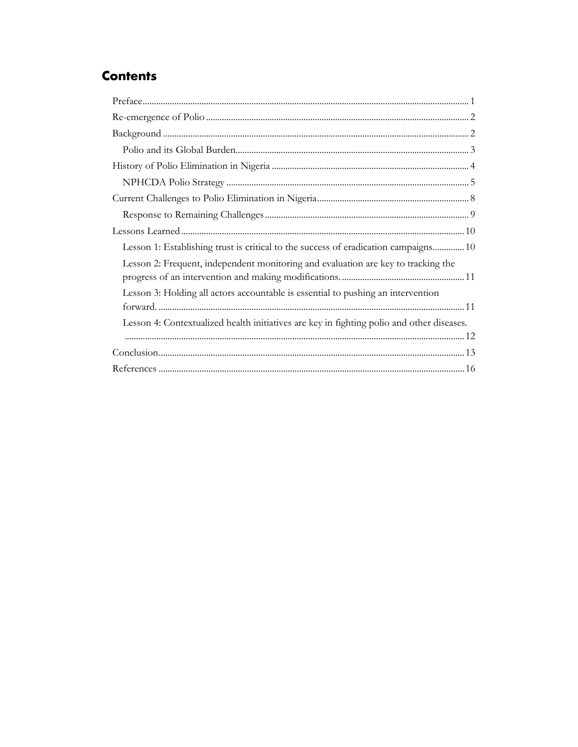## **Contents**

| Lesson 1: Establishing trust is critical to the success of eradication campaigns 10       |
|-------------------------------------------------------------------------------------------|
| Lesson 2: Frequent, independent monitoring and evaluation are key to tracking the         |
| Lesson 3: Holding all actors accountable is essential to pushing an intervention          |
|                                                                                           |
| Lesson 4: Contextualized health initiatives are key in fighting polio and other diseases. |
|                                                                                           |
|                                                                                           |
|                                                                                           |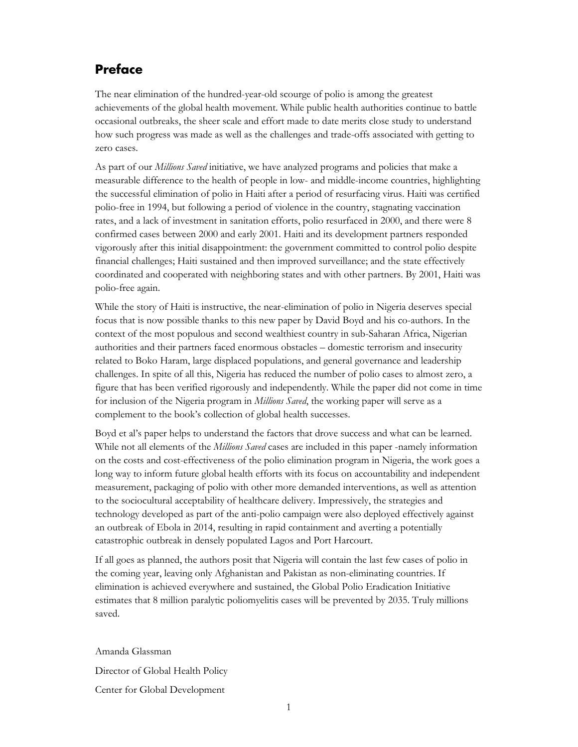## <span id="page-2-0"></span>**Preface**

The near elimination of the hundred-year-old scourge of polio is among the greatest achievements of the global health movement. While public health authorities continue to battle occasional outbreaks, the sheer scale and effort made to date merits close study to understand how such progress was made as well as the challenges and trade-offs associated with getting to zero cases.

As part of our *Millions Saved* initiative, we have analyzed programs and policies that make a measurable difference to the health of people in low- and middle-income countries, highlighting the successful elimination of polio in Haiti after a period of resurfacing virus. Haiti was certified polio-free in 1994, but following a period of violence in the country, stagnating vaccination rates, and a lack of investment in sanitation efforts, polio resurfaced in 2000, and there were 8 confirmed cases between 2000 and early 2001. Haiti and its development partners responded vigorously after this initial disappointment: the government committed to control polio despite financial challenges; Haiti sustained and then improved surveillance; and the state effectively coordinated and cooperated with neighboring states and with other partners. By 2001, Haiti was polio-free again.

While the story of Haiti is instructive, the near-elimination of polio in Nigeria deserves special focus that is now possible thanks to this new paper by David Boyd and his co-authors. In the context of the most populous and second wealthiest country in sub-Saharan Africa, Nigerian authorities and their partners faced enormous obstacles – domestic terrorism and insecurity related to Boko Haram, large displaced populations, and general governance and leadership challenges. In spite of all this, Nigeria has reduced the number of polio cases to almost zero, a figure that has been verified rigorously and independently. While the paper did not come in time for inclusion of the Nigeria program in *Millions Saved*, the working paper will serve as a complement to the book's collection of global health successes.

Boyd et al's paper helps to understand the factors that drove success and what can be learned. While not all elements of the *Millions Saved* cases are included in this paper -namely information on the costs and cost-effectiveness of the polio elimination program in Nigeria, the work goes a long way to inform future global health efforts with its focus on accountability and independent measurement, packaging of polio with other more demanded interventions, as well as attention to the sociocultural acceptability of healthcare delivery. Impressively, the strategies and technology developed as part of the anti-polio campaign were also deployed effectively against an outbreak of Ebola in 2014, resulting in rapid containment and averting a potentially catastrophic outbreak in densely populated Lagos and Port Harcourt.

If all goes as planned, the authors posit that Nigeria will contain the last few cases of polio in the coming year, leaving only Afghanistan and Pakistan as non-eliminating countries. If elimination is achieved everywhere and sustained, the Global Polio Eradication Initiative estimates that 8 million paralytic poliomyelitis cases will be prevented by 2035. Truly millions saved.

Amanda Glassman Director of Global Health Policy Center for Global Development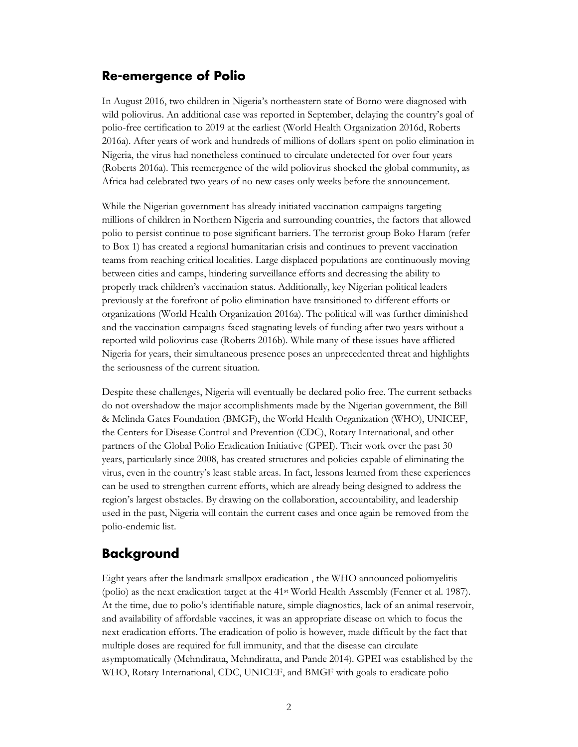## <span id="page-3-0"></span>**Re-emergence of Polio**

In August 2016, two children in Nigeria's northeastern state of Borno were diagnosed with wild poliovirus. An additional case was reported in September, delaying the country's goal of polio-free certification to 2019 at the earliest (World Health Organization 2016d, Roberts 2016a). After years of work and hundreds of millions of dollars spent on polio elimination in Nigeria, the virus had nonetheless continued to circulate undetected for over four years (Roberts 2016a). This reemergence of the wild poliovirus shocked the global community, as Africa had celebrated two years of no new cases only weeks before the announcement.

While the Nigerian government has already initiated vaccination campaigns targeting millions of children in Northern Nigeria and surrounding countries, the factors that allowed polio to persist continue to pose significant barriers. The terrorist group Boko Haram (refer to Box 1) has created a regional humanitarian crisis and continues to prevent vaccination teams from reaching critical localities. Large displaced populations are continuously moving between cities and camps, hindering surveillance efforts and decreasing the ability to properly track children's vaccination status. Additionally, key Nigerian political leaders previously at the forefront of polio elimination have transitioned to different efforts or organizations (World Health Organization 2016a). The political will was further diminished and the vaccination campaigns faced stagnating levels of funding after two years without a reported wild poliovirus case (Roberts 2016b). While many of these issues have afflicted Nigeria for years, their simultaneous presence poses an unprecedented threat and highlights the seriousness of the current situation.

Despite these challenges, Nigeria will eventually be declared polio free. The current setbacks do not overshadow the major accomplishments made by the Nigerian government, the Bill & Melinda Gates Foundation (BMGF), the World Health Organization (WHO), UNICEF, the Centers for Disease Control and Prevention (CDC), Rotary International, and other partners of the Global Polio Eradication Initiative (GPEI). Their work over the past 30 years, particularly since 2008, has created structures and policies capable of eliminating the virus, even in the country's least stable areas. In fact, lessons learned from these experiences can be used to strengthen current efforts, which are already being designed to address the region's largest obstacles. By drawing on the collaboration, accountability, and leadership used in the past, Nigeria will contain the current cases and once again be removed from the polio-endemic list.

## <span id="page-3-1"></span>**Background**

Eight years after the landmark smallpox eradication , the WHO announced poliomyelitis (polio) as the next eradication target at the 41st World Health Assembly (Fenner et al. 1987). At the time, due to polio's identifiable nature, simple diagnostics, lack of an animal reservoir, and availability of affordable vaccines, it was an appropriate disease on which to focus the next eradication efforts. The eradication of polio is however, made difficult by the fact that multiple doses are required for full immunity, and that the disease can circulate asymptomatically (Mehndiratta, Mehndiratta, and Pande 2014). GPEI was established by the WHO, Rotary International, CDC, UNICEF, and BMGF with goals to eradicate polio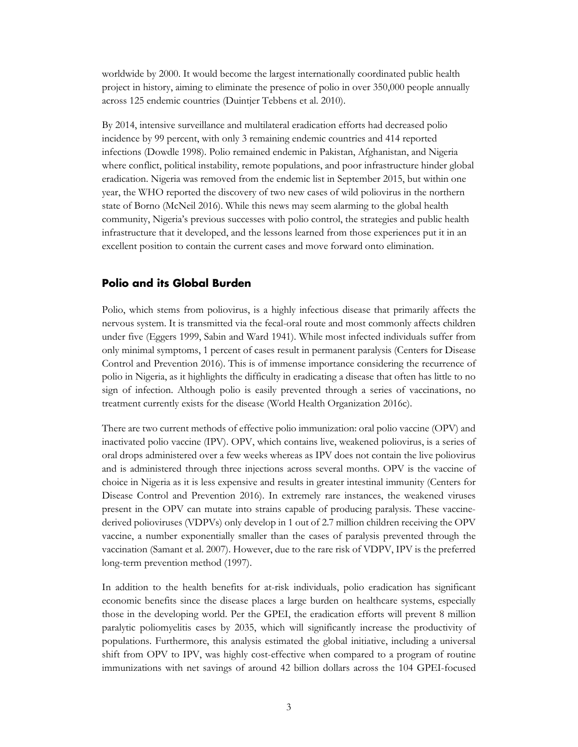worldwide by 2000. It would become the largest internationally coordinated public health project in history, aiming to eliminate the presence of polio in over 350,000 people annually across 125 endemic countries (Duintjer Tebbens et al. 2010).

By 2014, intensive surveillance and multilateral eradication efforts had decreased polio incidence by 99 percent, with only 3 remaining endemic countries and 414 reported infections (Dowdle 1998). Polio remained endemic in Pakistan, Afghanistan, and Nigeria where conflict, political instability, remote populations, and poor infrastructure hinder global eradication. Nigeria was removed from the endemic list in September 2015, but within one year, the WHO reported the discovery of two new cases of wild poliovirus in the northern state of Borno (McNeil 2016). While this news may seem alarming to the global health community, Nigeria's previous successes with polio control, the strategies and public health infrastructure that it developed, and the lessons learned from those experiences put it in an excellent position to contain the current cases and move forward onto elimination.

#### <span id="page-4-0"></span>**Polio and its Global Burden**

Polio, which stems from poliovirus, is a highly infectious disease that primarily affects the nervous system. It is transmitted via the fecal-oral route and most commonly affects children under five (Eggers 1999, Sabin and Ward 1941). While most infected individuals suffer from only minimal symptoms, 1 percent of cases result in permanent paralysis (Centers for Disease Control and Prevention 2016). This is of immense importance considering the recurrence of polio in Nigeria, as it highlights the difficulty in eradicating a disease that often has little to no sign of infection. Although polio is easily prevented through a series of vaccinations, no treatment currently exists for the disease (World Health Organization 2016c).

There are two current methods of effective polio immunization: oral polio vaccine (OPV) and inactivated polio vaccine (IPV). OPV, which contains live, weakened poliovirus, is a series of oral drops administered over a few weeks whereas as IPV does not contain the live poliovirus and is administered through three injections across several months. OPV is the vaccine of choice in Nigeria as it is less expensive and results in greater intestinal immunity (Centers for Disease Control and Prevention 2016). In extremely rare instances, the weakened viruses present in the OPV can mutate into strains capable of producing paralysis. These vaccinederived polioviruses (VDPVs) only develop in 1 out of 2.7 million children receiving the OPV vaccine, a number exponentially smaller than the cases of paralysis prevented through the vaccination (Samant et al. 2007). However, due to the rare risk of VDPV, IPV is the preferred long-term prevention method (1997).

In addition to the health benefits for at-risk individuals, polio eradication has significant economic benefits since the disease places a large burden on healthcare systems, especially those in the developing world. Per the GPEI, the eradication efforts will prevent 8 million paralytic poliomyelitis cases by 2035, which will significantly increase the productivity of populations. Furthermore, this analysis estimated the global initiative, including a universal shift from OPV to IPV, was highly cost-effective when compared to a program of routine immunizations with net savings of around 42 billion dollars across the 104 GPEI-focused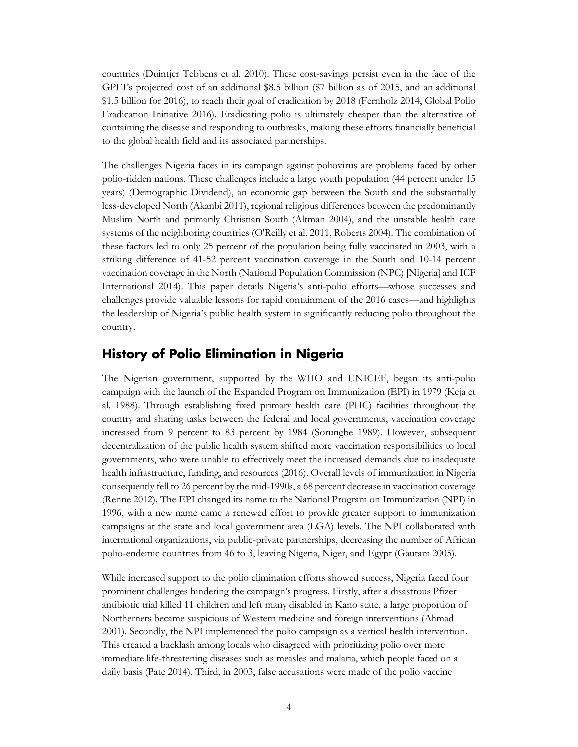countries (Duintjer Tebbens et al. 2010). These cost-savings persist even in the face of the GPEI's projected cost of an additional \$8.5 billion (\$7 billion as of 2015, and an additional \$1.5 billion for 2016), to reach their goal of eradication by 2018 (Fernholz 2014, Global Polio Eradication Initiative 2016). Eradicating polio is ultimately cheaper than the alternative of containing the disease and responding to outbreaks, making these efforts financially beneficial to the global health field and its associated partnerships.

The challenges Nigeria faces in its campaign against poliovirus are problems faced by other polio-ridden nations. These challenges include a large youth population (44 percent under 15 years) (Demographic Dividend), an economic gap between the South and the substantially less-developed North (Akanbi 2011), regional religious differences between the predominantly Muslim North and primarily Christian South (Altman 2004), and the unstable health care systems of the neighboring countries (O'Reilly et al. 2011, Roberts 2004). The combination of these factors led to only 25 percent of the population being fully vaccinated in 2003, with a striking difference of 41-52 percent vaccination coverage in the South and 10-14 percent vaccination coverage in the North (National Population Commission (NPC) [Nigeria] and ICF International 2014). This paper details Nigeria's anti-polio efforts—whose successes and challenges provide valuable lessons for rapid containment of the 2016 cases—and highlights the leadership of Nigeria's public health system in significantly reducing polio throughout the country.

### <span id="page-5-0"></span>**History of Polio Elimination in Nigeria**

The Nigerian government, supported by the WHO and UNICEF, began its anti-polio campaign with the launch of the Expanded Program on Immunization (EPI) in 1979 (Keja et al. 1988). Through establishing fixed primary health care (PHC) facilities throughout the country and sharing tasks between the federal and local governments, vaccination coverage increased from 9 percent to 83 percent by 1984 (Sorungbe 1989). However, subsequent decentralization of the public health system shifted more vaccination responsibilities to local governments, who were unable to effectively meet the increased demands due to inadequate health infrastructure, funding, and resources (2016). Overall levels of immunization in Nigeria consequently fell to 26 percent by the mid-1990s, a 68 percent decrease in vaccination coverage (Renne 2012). The EPI changed its name to the National Program on Immunization (NPI) in 1996, with a new name came a renewed effort to provide greater support to immunization campaigns at the state and local government area (LGA) levels. The NPI collaborated with international organizations, via public-private partnerships, decreasing the number of African polio-endemic countries from 46 to 3, leaving Nigeria, Niger, and Egypt (Gautam 2005).

While increased support to the polio elimination efforts showed success, Nigeria faced four prominent challenges hindering the campaign's progress. Firstly, after a disastrous Pfizer antibiotic trial killed 11 children and left many disabled in Kano state, a large proportion of Northerners became suspicious of Western medicine and foreign interventions (Ahmad 2001). Secondly, the NPI implemented the polio campaign as a vertical health intervention. This created a backlash among locals who disagreed with prioritizing polio over more immediate life-threatening diseases such as measles and malaria, which people faced on a daily basis (Pate 2014). Third, in 2003, false accusations were made of the polio vaccine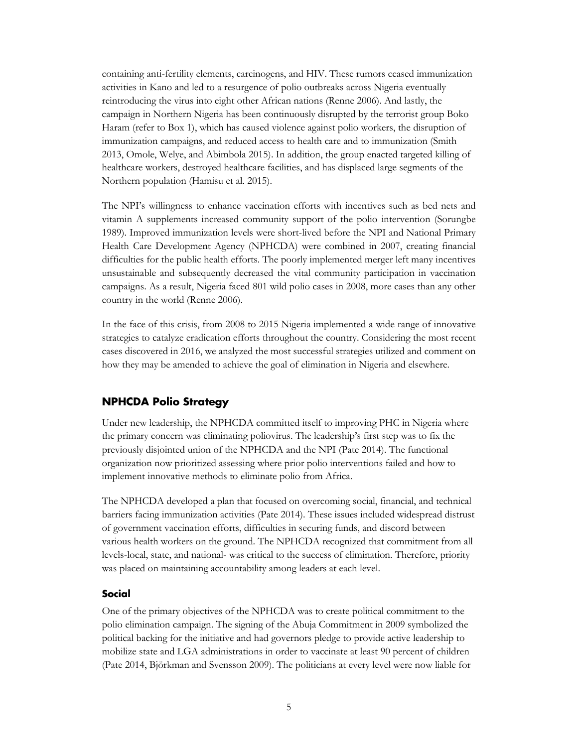containing anti-fertility elements, carcinogens, and HIV. These rumors ceased immunization activities in Kano and led to a resurgence of polio outbreaks across Nigeria eventually reintroducing the virus into eight other African nations (Renne 2006). And lastly, the campaign in Northern Nigeria has been continuously disrupted by the terrorist group Boko Haram (refer to Box 1), which has caused violence against polio workers, the disruption of immunization campaigns, and reduced access to health care and to immunization (Smith 2013, Omole, Welye, and Abimbola 2015). In addition, the group enacted targeted killing of healthcare workers, destroyed healthcare facilities, and has displaced large segments of the Northern population (Hamisu et al. 2015).

The NPI's willingness to enhance vaccination efforts with incentives such as bed nets and vitamin A supplements increased community support of the polio intervention (Sorungbe 1989). Improved immunization levels were short-lived before the NPI and National Primary Health Care Development Agency (NPHCDA) were combined in 2007, creating financial difficulties for the public health efforts. The poorly implemented merger left many incentives unsustainable and subsequently decreased the vital community participation in vaccination campaigns. As a result, Nigeria faced 801 wild polio cases in 2008, more cases than any other country in the world (Renne 2006).

In the face of this crisis, from 2008 to 2015 Nigeria implemented a wide range of innovative strategies to catalyze eradication efforts throughout the country. Considering the most recent cases discovered in 2016, we analyzed the most successful strategies utilized and comment on how they may be amended to achieve the goal of elimination in Nigeria and elsewhere.

#### <span id="page-6-0"></span>**NPHCDA Polio Strategy**

Under new leadership, the NPHCDA committed itself to improving PHC in Nigeria where the primary concern was eliminating poliovirus. The leadership's first step was to fix the previously disjointed union of the NPHCDA and the NPI (Pate 2014). The functional organization now prioritized assessing where prior polio interventions failed and how to implement innovative methods to eliminate polio from Africa.

The NPHCDA developed a plan that focused on overcoming social, financial, and technical barriers facing immunization activities (Pate 2014). These issues included widespread distrust of government vaccination efforts, difficulties in securing funds, and discord between various health workers on the ground. The NPHCDA recognized that commitment from all levels-local, state, and national- was critical to the success of elimination. Therefore, priority was placed on maintaining accountability among leaders at each level.

#### **Social**

One of the primary objectives of the NPHCDA was to create political commitment to the polio elimination campaign. The signing of the Abuja Commitment in 2009 symbolized the political backing for the initiative and had governors pledge to provide active leadership to mobilize state and LGA administrations in order to vaccinate at least 90 percent of children (Pate 2014, Björkman and Svensson 2009). The politicians at every level were now liable for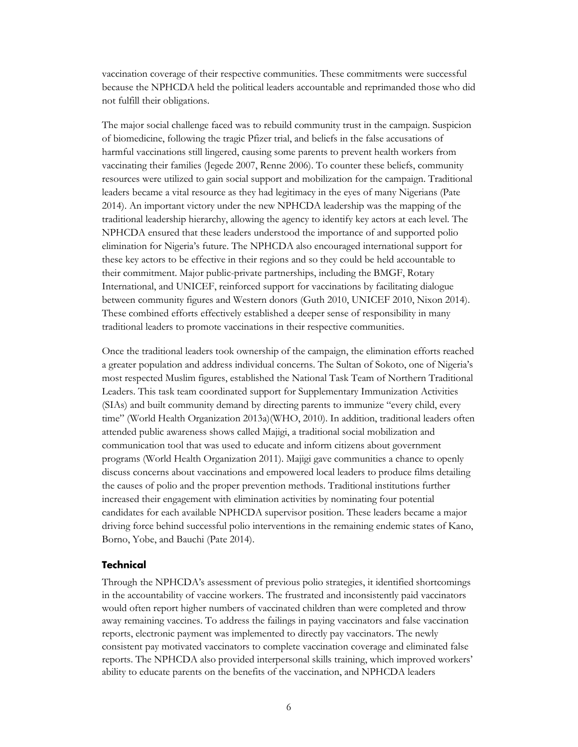vaccination coverage of their respective communities. These commitments were successful because the NPHCDA held the political leaders accountable and reprimanded those who did not fulfill their obligations.

The major social challenge faced was to rebuild community trust in the campaign. Suspicion of biomedicine, following the tragic Pfizer trial, and beliefs in the false accusations of harmful vaccinations still lingered, causing some parents to prevent health workers from vaccinating their families (Jegede 2007, Renne 2006). To counter these beliefs, community resources were utilized to gain social support and mobilization for the campaign. Traditional leaders became a vital resource as they had legitimacy in the eyes of many Nigerians (Pate 2014). An important victory under the new NPHCDA leadership was the mapping of the traditional leadership hierarchy, allowing the agency to identify key actors at each level. The NPHCDA ensured that these leaders understood the importance of and supported polio elimination for Nigeria's future. The NPHCDA also encouraged international support for these key actors to be effective in their regions and so they could be held accountable to their commitment. Major public-private partnerships, including the BMGF, Rotary International, and UNICEF, reinforced support for vaccinations by facilitating dialogue between community figures and Western donors (Guth 2010, UNICEF 2010, Nixon 2014). These combined efforts effectively established a deeper sense of responsibility in many traditional leaders to promote vaccinations in their respective communities.

Once the traditional leaders took ownership of the campaign, the elimination efforts reached a greater population and address individual concerns. The Sultan of Sokoto, one of Nigeria's most respected Muslim figures, established the National Task Team of Northern Traditional Leaders. This task team coordinated support for Supplementary Immunization Activities (SIAs) and built community demand by directing parents to immunize "every child, every time" (World Health Organization 2013a)(WHO, 2010). In addition, traditional leaders often attended public awareness shows called Majigi, a traditional social mobilization and communication tool that was used to educate and inform citizens about government programs (World Health Organization 2011). Majigi gave communities a chance to openly discuss concerns about vaccinations and empowered local leaders to produce films detailing the causes of polio and the proper prevention methods. Traditional institutions further increased their engagement with elimination activities by nominating four potential candidates for each available NPHCDA supervisor position. These leaders became a major driving force behind successful polio interventions in the remaining endemic states of Kano, Borno, Yobe, and Bauchi (Pate 2014).

#### **Technical**

Through the NPHCDA's assessment of previous polio strategies, it identified shortcomings in the accountability of vaccine workers. The frustrated and inconsistently paid vaccinators would often report higher numbers of vaccinated children than were completed and throw away remaining vaccines. To address the failings in paying vaccinators and false vaccination reports, electronic payment was implemented to directly pay vaccinators. The newly consistent pay motivated vaccinators to complete vaccination coverage and eliminated false reports. The NPHCDA also provided interpersonal skills training, which improved workers' ability to educate parents on the benefits of the vaccination, and NPHCDA leaders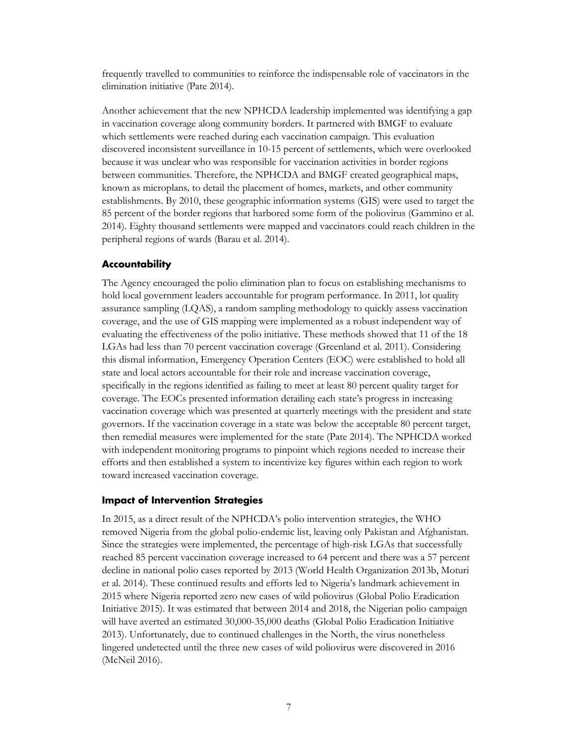frequently travelled to communities to reinforce the indispensable role of vaccinators in the elimination initiative (Pate 2014).

Another achievement that the new NPHCDA leadership implemented was identifying a gap in vaccination coverage along community borders. It partnered with BMGF to evaluate which settlements were reached during each vaccination campaign. This evaluation discovered inconsistent surveillance in 10-15 percent of settlements, which were overlooked because it was unclear who was responsible for vaccination activities in border regions between communities. Therefore, the NPHCDA and BMGF created geographical maps, known as microplans*,* to detail the placement of homes, markets, and other community establishments. By 2010, these geographic information systems (GIS) were used to target the 85 percent of the border regions that harbored some form of the poliovirus (Gammino et al. 2014). Eighty thousand settlements were mapped and vaccinators could reach children in the peripheral regions of wards (Barau et al. 2014).

#### **Accountability**

The Agency encouraged the polio elimination plan to focus on establishing mechanisms to hold local government leaders accountable for program performance. In 2011, lot quality assurance sampling (LQAS), a random sampling methodology to quickly assess vaccination coverage, and the use of GIS mapping were implemented as a robust independent way of evaluating the effectiveness of the polio initiative. These methods showed that 11 of the 18 LGAs had less than 70 percent vaccination coverage (Greenland et al. 2011). Considering this dismal information, Emergency Operation Centers (EOC) were established to hold all state and local actors accountable for their role and increase vaccination coverage, specifically in the regions identified as failing to meet at least 80 percent quality target for coverage. The EOCs presented information detailing each state's progress in increasing vaccination coverage which was presented at quarterly meetings with the president and state governors. If the vaccination coverage in a state was below the acceptable 80 percent target, then remedial measures were implemented for the state (Pate 2014). The NPHCDA worked with independent monitoring programs to pinpoint which regions needed to increase their efforts and then established a system to incentivize key figures within each region to work toward increased vaccination coverage.

#### **Impact of Intervention Strategies**

In 2015, as a direct result of the NPHCDA's polio intervention strategies, the WHO removed Nigeria from the global polio-endemic list, leaving only Pakistan and Afghanistan. Since the strategies were implemented, the percentage of high-risk LGAs that successfully reached 85 percent vaccination coverage increased to 64 percent and there was a 57 percent decline in national polio cases reported by 2013 (World Health Organization 2013b, Moturi et al. 2014). These continued results and efforts led to Nigeria's landmark achievement in 2015 where Nigeria reported zero new cases of wild poliovirus (Global Polio Eradication Initiative 2015). It was estimated that between 2014 and 2018, the Nigerian polio campaign will have averted an estimated 30,000-35,000 deaths (Global Polio Eradication Initiative 2013). Unfortunately, due to continued challenges in the North, the virus nonetheless lingered undetected until the three new cases of wild poliovirus were discovered in 2016 (McNeil 2016).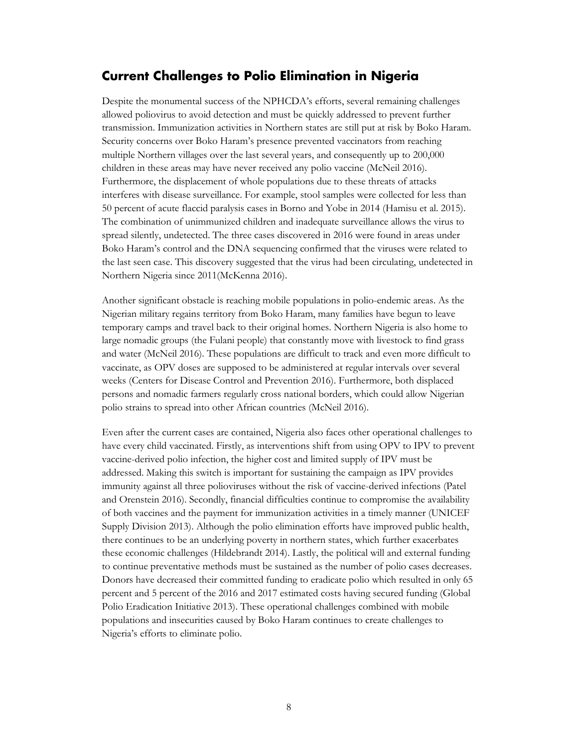## <span id="page-9-0"></span>**Current Challenges to Polio Elimination in Nigeria**

Despite the monumental success of the NPHCDA's efforts, several remaining challenges allowed poliovirus to avoid detection and must be quickly addressed to prevent further transmission. Immunization activities in Northern states are still put at risk by Boko Haram. Security concerns over Boko Haram's presence prevented vaccinators from reaching multiple Northern villages over the last several years, and consequently up to 200,000 children in these areas may have never received any polio vaccine (McNeil 2016). Furthermore, the displacement of whole populations due to these threats of attacks interferes with disease surveillance. For example, stool samples were collected for less than 50 percent of acute flaccid paralysis cases in Borno and Yobe in 2014 (Hamisu et al. 2015). The combination of unimmunized children and inadequate surveillance allows the virus to spread silently, undetected. The three cases discovered in 2016 were found in areas under Boko Haram's control and the DNA sequencing confirmed that the viruses were related to the last seen case. This discovery suggested that the virus had been circulating, undetected in Northern Nigeria since 2011(McKenna 2016).

Another significant obstacle is reaching mobile populations in polio-endemic areas. As the Nigerian military regains territory from Boko Haram, many families have begun to leave temporary camps and travel back to their original homes. Northern Nigeria is also home to large nomadic groups (the Fulani people) that constantly move with livestock to find grass and water (McNeil 2016). These populations are difficult to track and even more difficult to vaccinate, as OPV doses are supposed to be administered at regular intervals over several weeks (Centers for Disease Control and Prevention 2016). Furthermore, both displaced persons and nomadic farmers regularly cross national borders, which could allow Nigerian polio strains to spread into other African countries (McNeil 2016).

Even after the current cases are contained, Nigeria also faces other operational challenges to have every child vaccinated. Firstly, as interventions shift from using OPV to IPV to prevent vaccine-derived polio infection, the higher cost and limited supply of IPV must be addressed. Making this switch is important for sustaining the campaign as IPV provides immunity against all three polioviruses without the risk of vaccine-derived infections (Patel and Orenstein 2016). Secondly, financial difficulties continue to compromise the availability of both vaccines and the payment for immunization activities in a timely manner (UNICEF Supply Division 2013). Although the polio elimination efforts have improved public health, there continues to be an underlying poverty in northern states, which further exacerbates these economic challenges (Hildebrandt 2014). Lastly, the political will and external funding to continue preventative methods must be sustained as the number of polio cases decreases. Donors have decreased their committed funding to eradicate polio which resulted in only 65 percent and 5 percent of the 2016 and 2017 estimated costs having secured funding (Global Polio Eradication Initiative 2013). These operational challenges combined with mobile populations and insecurities caused by Boko Haram continues to create challenges to Nigeria's efforts to eliminate polio.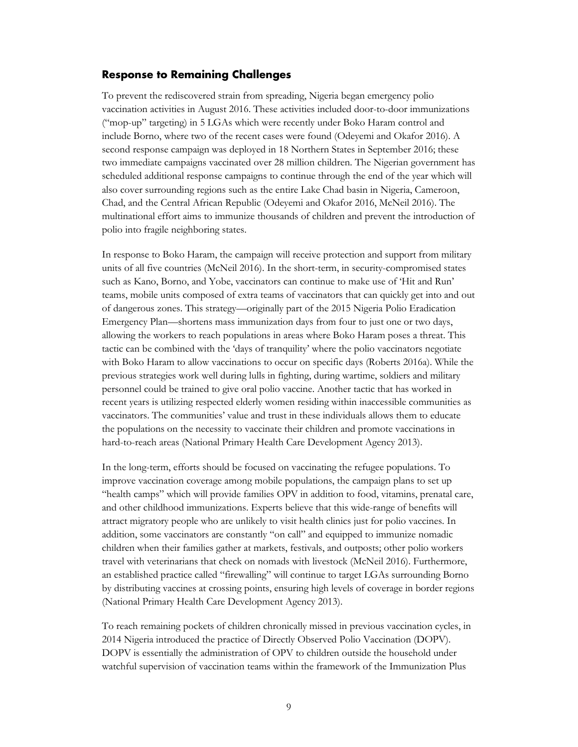#### <span id="page-10-0"></span>**Response to Remaining Challenges**

To prevent the rediscovered strain from spreading, Nigeria began emergency polio vaccination activities in August 2016. These activities included door-to-door immunizations ("mop-up" targeting) in 5 LGAs which were recently under Boko Haram control and include Borno, where two of the recent cases were found (Odeyemi and Okafor 2016). A second response campaign was deployed in 18 Northern States in September 2016; these two immediate campaigns vaccinated over 28 million children. The Nigerian government has scheduled additional response campaigns to continue through the end of the year which will also cover surrounding regions such as the entire Lake Chad basin in Nigeria, Cameroon, Chad, and the Central African Republic (Odeyemi and Okafor 2016, McNeil 2016). The multinational effort aims to immunize thousands of children and prevent the introduction of polio into fragile neighboring states.

In response to Boko Haram, the campaign will receive protection and support from military units of all five countries (McNeil 2016). In the short-term, in security-compromised states such as Kano, Borno, and Yobe, vaccinators can continue to make use of 'Hit and Run' teams, mobile units composed of extra teams of vaccinators that can quickly get into and out of dangerous zones. This strategy—originally part of the 2015 Nigeria Polio Eradication Emergency Plan—shortens mass immunization days from four to just one or two days, allowing the workers to reach populations in areas where Boko Haram poses a threat. This tactic can be combined with the 'days of tranquility' where the polio vaccinators negotiate with Boko Haram to allow vaccinations to occur on specific days (Roberts 2016a). While the previous strategies work well during lulls in fighting, during wartime, soldiers and military personnel could be trained to give oral polio vaccine. Another tactic that has worked in recent years is utilizing respected elderly women residing within inaccessible communities as vaccinators. The communities' value and trust in these individuals allows them to educate the populations on the necessity to vaccinate their children and promote vaccinations in hard-to-reach areas (National Primary Health Care Development Agency 2013).

In the long-term, efforts should be focused on vaccinating the refugee populations. To improve vaccination coverage among mobile populations, the campaign plans to set up "health camps" which will provide families OPV in addition to food, vitamins, prenatal care, and other childhood immunizations. Experts believe that this wide-range of benefits will attract migratory people who are unlikely to visit health clinics just for polio vaccines. In addition, some vaccinators are constantly "on call" and equipped to immunize nomadic children when their families gather at markets, festivals, and outposts; other polio workers travel with veterinarians that check on nomads with livestock (McNeil 2016). Furthermore, an established practice called "firewalling" will continue to target LGAs surrounding Borno by distributing vaccines at crossing points, ensuring high levels of coverage in border regions (National Primary Health Care Development Agency 2013).

To reach remaining pockets of children chronically missed in previous vaccination cycles, in 2014 Nigeria introduced the practice of Directly Observed Polio Vaccination (DOPV). DOPV is essentially the administration of OPV to children outside the household under watchful supervision of vaccination teams within the framework of the Immunization Plus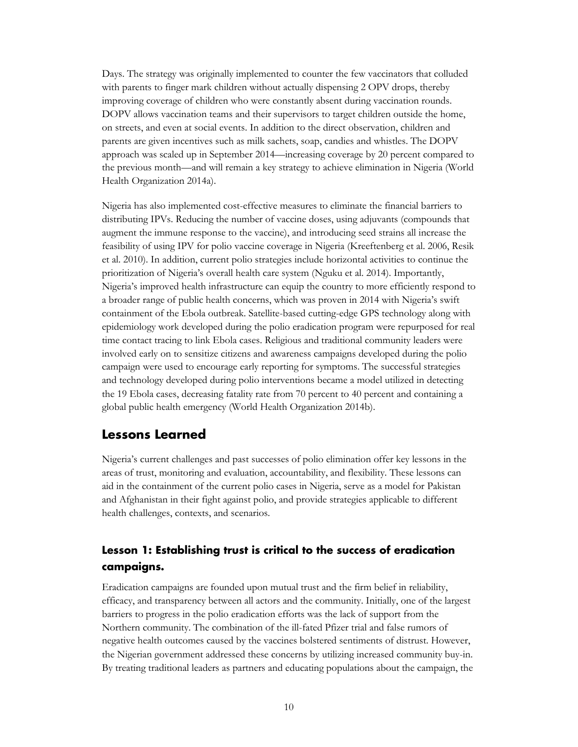Days. The strategy was originally implemented to counter the few vaccinators that colluded with parents to finger mark children without actually dispensing 2 OPV drops, thereby improving coverage of children who were constantly absent during vaccination rounds. DOPV allows vaccination teams and their supervisors to target children outside the home, on streets, and even at social events. In addition to the direct observation, children and parents are given incentives such as milk sachets, soap, candies and whistles. The DOPV approach was scaled up in September 2014—increasing coverage by 20 percent compared to the previous month—and will remain a key strategy to achieve elimination in Nigeria (World Health Organization 2014a).

Nigeria has also implemented cost-effective measures to eliminate the financial barriers to distributing IPVs. Reducing the number of vaccine doses, using adjuvants (compounds that augment the immune response to the vaccine), and introducing seed strains all increase the feasibility of using IPV for polio vaccine coverage in Nigeria (Kreeftenberg et al. 2006, Resik et al. 2010). In addition, current polio strategies include horizontal activities to continue the prioritization of Nigeria's overall health care system (Nguku et al. 2014). Importantly, Nigeria's improved health infrastructure can equip the country to more efficiently respond to a broader range of public health concerns, which was proven in 2014 with Nigeria's swift containment of the Ebola outbreak. Satellite-based cutting-edge GPS technology along with epidemiology work developed during the polio eradication program were repurposed for real time contact tracing to link Ebola cases. Religious and traditional community leaders were involved early on to sensitize citizens and awareness campaigns developed during the polio campaign were used to encourage early reporting for symptoms. The successful strategies and technology developed during polio interventions became a model utilized in detecting the 19 Ebola cases, decreasing fatality rate from 70 percent to 40 percent and containing a global public health emergency (World Health Organization 2014b).

## <span id="page-11-0"></span>**Lessons Learned**

Nigeria's current challenges and past successes of polio elimination offer key lessons in the areas of trust, monitoring and evaluation, accountability, and flexibility. These lessons can aid in the containment of the current polio cases in Nigeria, serve as a model for Pakistan and Afghanistan in their fight against polio, and provide strategies applicable to different health challenges, contexts, and scenarios.

## <span id="page-11-1"></span>**Lesson 1: Establishing trust is critical to the success of eradication campaigns.**

Eradication campaigns are founded upon mutual trust and the firm belief in reliability, efficacy, and transparency between all actors and the community. Initially, one of the largest barriers to progress in the polio eradication efforts was the lack of support from the Northern community. The combination of the ill-fated Pfizer trial and false rumors of negative health outcomes caused by the vaccines bolstered sentiments of distrust. However, the Nigerian government addressed these concerns by utilizing increased community buy-in. By treating traditional leaders as partners and educating populations about the campaign, the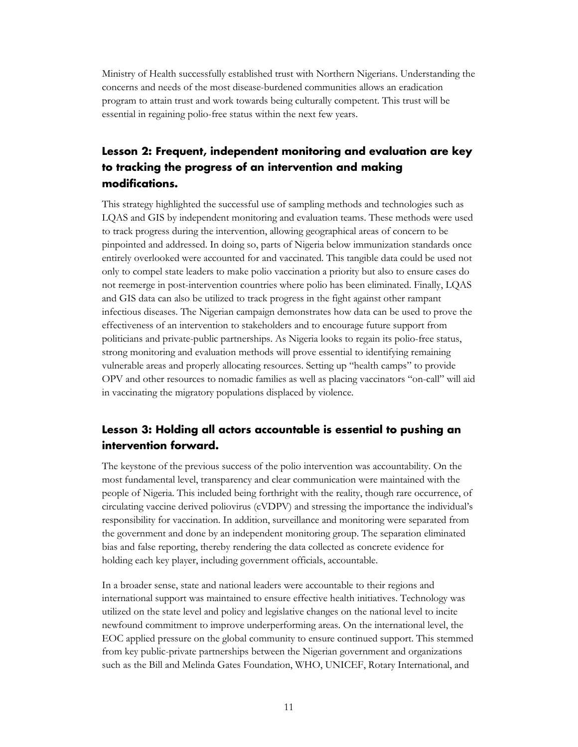Ministry of Health successfully established trust with Northern Nigerians. Understanding the concerns and needs of the most disease-burdened communities allows an eradication program to attain trust and work towards being culturally competent. This trust will be essential in regaining polio-free status within the next few years.

## <span id="page-12-0"></span>**Lesson 2: Frequent, independent monitoring and evaluation are key to tracking the progress of an intervention and making modifications.**

This strategy highlighted the successful use of sampling methods and technologies such as LQAS and GIS by independent monitoring and evaluation teams. These methods were used to track progress during the intervention, allowing geographical areas of concern to be pinpointed and addressed. In doing so, parts of Nigeria below immunization standards once entirely overlooked were accounted for and vaccinated. This tangible data could be used not only to compel state leaders to make polio vaccination a priority but also to ensure cases do not reemerge in post-intervention countries where polio has been eliminated. Finally, LQAS and GIS data can also be utilized to track progress in the fight against other rampant infectious diseases. The Nigerian campaign demonstrates how data can be used to prove the effectiveness of an intervention to stakeholders and to encourage future support from politicians and private-public partnerships. As Nigeria looks to regain its polio-free status, strong monitoring and evaluation methods will prove essential to identifying remaining vulnerable areas and properly allocating resources. Setting up "health camps" to provide OPV and other resources to nomadic families as well as placing vaccinators "on-call" will aid in vaccinating the migratory populations displaced by violence.

## <span id="page-12-1"></span>**Lesson 3: Holding all actors accountable is essential to pushing an intervention forward.**

The keystone of the previous success of the polio intervention was accountability. On the most fundamental level, transparency and clear communication were maintained with the people of Nigeria. This included being forthright with the reality, though rare occurrence, of circulating vaccine derived poliovirus (cVDPV) and stressing the importance the individual's responsibility for vaccination. In addition, surveillance and monitoring were separated from the government and done by an independent monitoring group. The separation eliminated bias and false reporting, thereby rendering the data collected as concrete evidence for holding each key player, including government officials, accountable.

In a broader sense, state and national leaders were accountable to their regions and international support was maintained to ensure effective health initiatives. Technology was utilized on the state level and policy and legislative changes on the national level to incite newfound commitment to improve underperforming areas. On the international level, the EOC applied pressure on the global community to ensure continued support. This stemmed from key public-private partnerships between the Nigerian government and organizations such as the Bill and Melinda Gates Foundation, WHO, UNICEF, Rotary International, and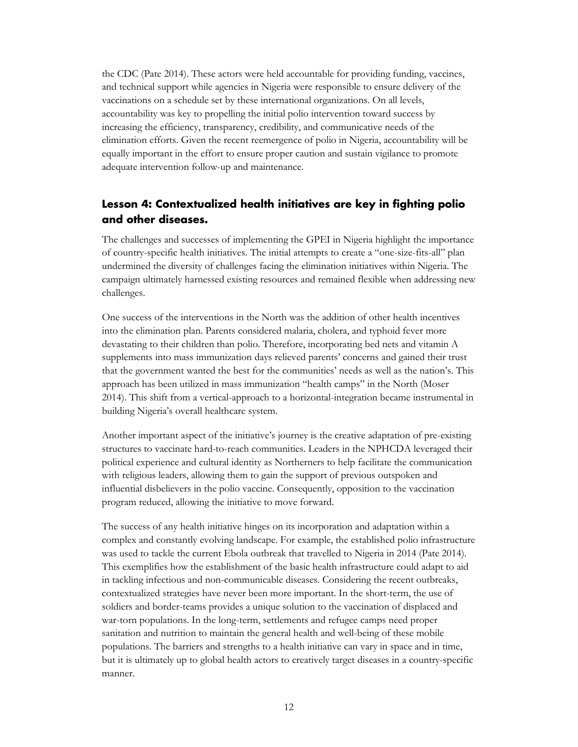the CDC (Pate 2014). These actors were held accountable for providing funding, vaccines, and technical support while agencies in Nigeria were responsible to ensure delivery of the vaccinations on a schedule set by these international organizations. On all levels, accountability was key to propelling the initial polio intervention toward success by increasing the efficiency, transparency, credibility, and communicative needs of the elimination efforts. Given the recent reemergence of polio in Nigeria, accountability will be equally important in the effort to ensure proper caution and sustain vigilance to promote adequate intervention follow-up and maintenance.

## <span id="page-13-0"></span>**Lesson 4: Contextualized health initiatives are key in fighting polio and other diseases.**

The challenges and successes of implementing the GPEI in Nigeria highlight the importance of country-specific health initiatives. The initial attempts to create a "one-size-fits-all" plan undermined the diversity of challenges facing the elimination initiatives within Nigeria. The campaign ultimately harnessed existing resources and remained flexible when addressing new challenges.

One success of the interventions in the North was the addition of other health incentives into the elimination plan. Parents considered malaria, cholera, and typhoid fever more devastating to their children than polio. Therefore, incorporating bed nets and vitamin A supplements into mass immunization days relieved parents' concerns and gained their trust that the government wanted the best for the communities' needs as well as the nation's. This approach has been utilized in mass immunization "health camps" in the North (Moser 2014). This shift from a vertical-approach to a horizontal-integration became instrumental in building Nigeria's overall healthcare system.

Another important aspect of the initiative's journey is the creative adaptation of pre-existing structures to vaccinate hard-to-reach communities. Leaders in the NPHCDA leveraged their political experience and cultural identity as Northerners to help facilitate the communication with religious leaders, allowing them to gain the support of previous outspoken and influential disbelievers in the polio vaccine. Consequently, opposition to the vaccination program reduced, allowing the initiative to move forward.

The success of any health initiative hinges on its incorporation and adaptation within a complex and constantly evolving landscape. For example, the established polio infrastructure was used to tackle the current Ebola outbreak that travelled to Nigeria in 2014 (Pate 2014). This exemplifies how the establishment of the basic health infrastructure could adapt to aid in tackling infectious and non-communicable diseases. Considering the recent outbreaks, contextualized strategies have never been more important. In the short-term, the use of soldiers and border-teams provides a unique solution to the vaccination of displaced and war-torn populations. In the long-term, settlements and refugee camps need proper sanitation and nutrition to maintain the general health and well-being of these mobile populations. The barriers and strengths to a health initiative can vary in space and in time, but it is ultimately up to global health actors to creatively target diseases in a country-specific manner.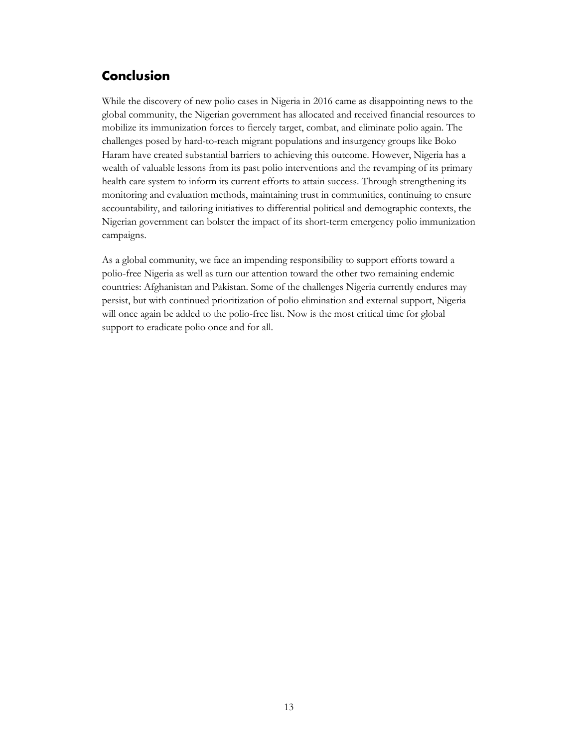## <span id="page-14-0"></span>**Conclusion**

While the discovery of new polio cases in Nigeria in 2016 came as disappointing news to the global community, the Nigerian government has allocated and received financial resources to mobilize its immunization forces to fiercely target, combat, and eliminate polio again. The challenges posed by hard-to-reach migrant populations and insurgency groups like Boko Haram have created substantial barriers to achieving this outcome. However, Nigeria has a wealth of valuable lessons from its past polio interventions and the revamping of its primary health care system to inform its current efforts to attain success. Through strengthening its monitoring and evaluation methods, maintaining trust in communities, continuing to ensure accountability, and tailoring initiatives to differential political and demographic contexts, the Nigerian government can bolster the impact of its short-term emergency polio immunization campaigns.

As a global community, we face an impending responsibility to support efforts toward a polio-free Nigeria as well as turn our attention toward the other two remaining endemic countries: Afghanistan and Pakistan. Some of the challenges Nigeria currently endures may persist, but with continued prioritization of polio elimination and external support, Nigeria will once again be added to the polio-free list. Now is the most critical time for global support to eradicate polio once and for all.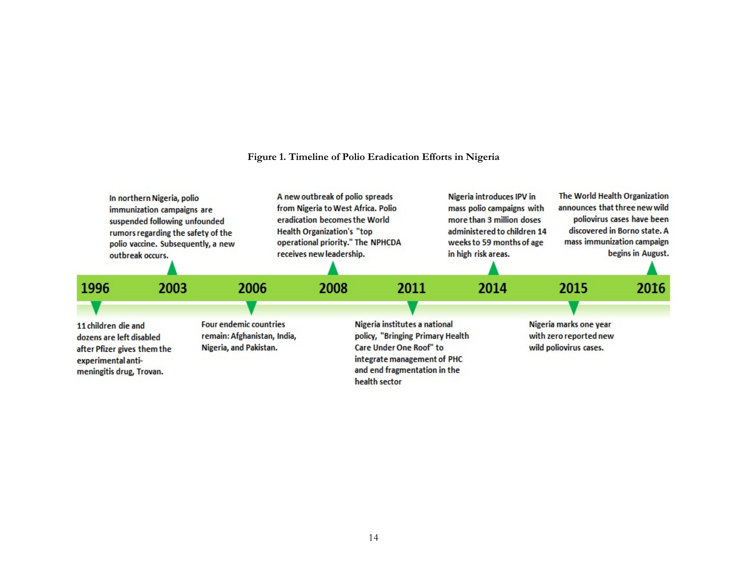#### **Figure 1. Timeline of Polio Eradication Efforts in Nigeria**

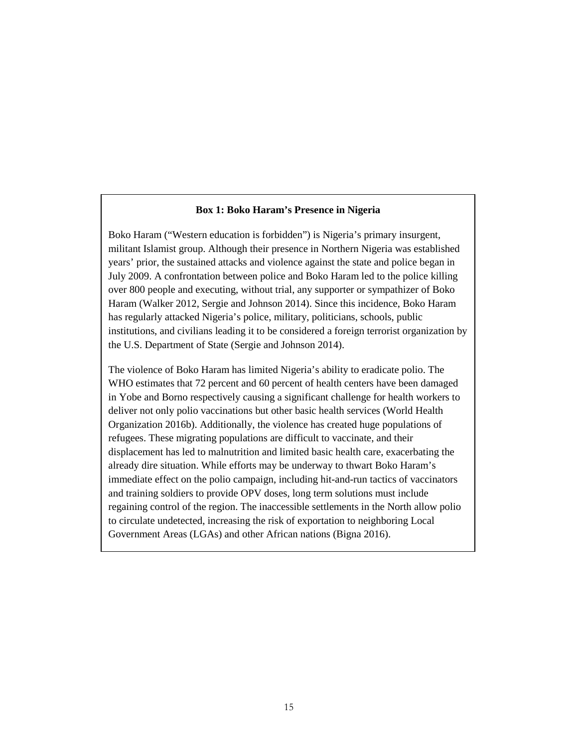#### **Box 1: Boko Haram's Presence in Nigeria**

Boko Haram ("Western education is forbidden") is Nigeria's primary insurgent, militant Islamist group. Although their presence in Northern Nigeria was established years' prior, the sustained attacks and violence against the state and police began in July 2009. A confrontation between police and Boko Haram led to the police killing over 800 people and executing, without trial, any supporter or sympathizer of Boko Haram (Walker 2012, Sergie and Johnson 2014). Since this incidence, Boko Haram has regularly attacked Nigeria's police, military, politicians, schools, public institutions, and civilians leading it to be considered a foreign terrorist organization by the U.S. Department of State (Sergie and Johnson 2014).

The violence of Boko Haram has limited Nigeria's ability to eradicate polio. The WHO estimates that 72 percent and 60 percent of health centers have been damaged in Yobe and Borno respectively causing a significant challenge for health workers to deliver not only polio vaccinations but other basic health services (World Health Organization 2016b). Additionally, the violence has created huge populations of refugees. These migrating populations are difficult to vaccinate, and their displacement has led to malnutrition and limited basic health care, exacerbating the already dire situation. While efforts may be underway to thwart Boko Haram's immediate effect on the polio campaign, including hit-and-run tactics of vaccinators and training soldiers to provide OPV doses, long term solutions must include regaining control of the region. The inaccessible settlements in the North allow polio to circulate undetected, increasing the risk of exportation to neighboring Local Government Areas (LGAs) and other African nations (Bigna 2016).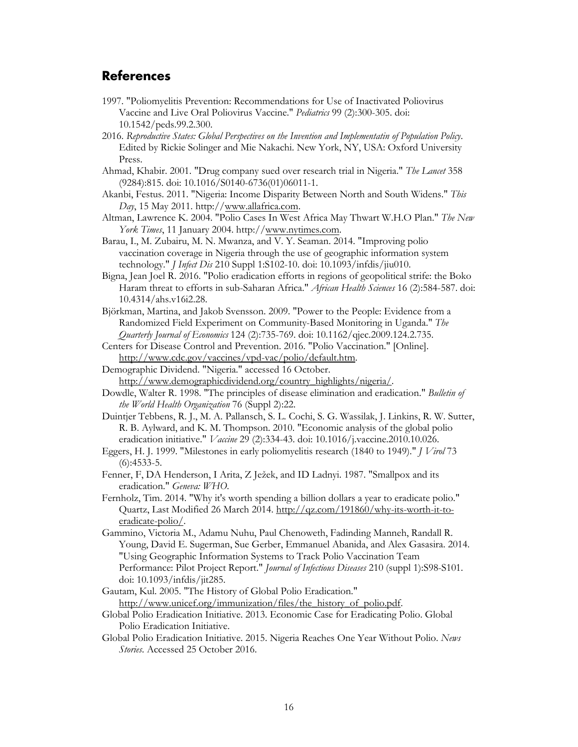## <span id="page-17-0"></span>**References**

- 1997. "Poliomyelitis Prevention: Recommendations for Use of Inactivated Poliovirus Vaccine and Live Oral Poliovirus Vaccine." *Pediatrics* 99 (2):300-305. doi: 10.1542/peds.99.2.300.
- 2016. *Reproductive States: Global Perspectives on the Invention and Implementatin of Population Policy*. Edited by Rickie Solinger and Mie Nakachi. New York, NY, USA: Oxford University Press.
- Ahmad, Khabir. 2001. "Drug company sued over research trial in Nigeria." *The Lancet* 358 (9284):815. doi: 10.1016/S0140-6736(01)06011-1.
- Akanbi, Festus. 2011. "Nigeria: Income Disparity Between North and South Widens." *This Day*, 15 May 2011. http://[www.allafrica.com.](http://www.allafrica.com/)
- Altman, Lawrence K. 2004. "Polio Cases In West Africa May Thwart W.H.O Plan." *The New York Times*, 11 January 2004. http://[www.nytimes.com.](http://www.nytimes.com/)
- Barau, I., M. Zubairu, M. N. Mwanza, and V. Y. Seaman. 2014. "Improving polio vaccination coverage in Nigeria through the use of geographic information system technology." *J Infect Dis* 210 Suppl 1:S102-10. doi: 10.1093/infdis/jiu010.
- Bigna, Jean Joel R. 2016. "Polio eradication efforts in regions of geopolitical strife: the Boko Haram threat to efforts in sub-Saharan Africa." *African Health Sciences* 16 (2):584-587. doi: 10.4314/ahs.v16i2.28.
- Björkman, Martina, and Jakob Svensson. 2009. "Power to the People: Evidence from a Randomized Field Experiment on Community-Based Monitoring in Uganda." *The Quarterly Journal of Economics* 124 (2):735-769. doi: 10.1162/qjec.2009.124.2.735.
- Centers for Disease Control and Prevention. 2016. "Polio Vaccination." [Online]. [http://www.cdc.gov/vaccines/vpd-vac/polio/default.htm.](http://www.cdc.gov/vaccines/vpd-vac/polio/default.htm)
- Demographic Dividend. "Nigeria." accessed 16 October.
- [http://www.demographicdividend.org/country\\_highlights/nigeria/.](http://www.demographicdividend.org/country_highlights/nigeria/)
- Dowdle, Walter R. 1998. "The principles of disease elimination and eradication." *Bulletin of the World Health Organization* 76 (Suppl 2):22.
- Duintjer Tebbens, R. J., M. A. Pallansch, S. L. Cochi, S. G. Wassilak, J. Linkins, R. W. Sutter, R. B. Aylward, and K. M. Thompson. 2010. "Economic analysis of the global polio eradication initiative." *Vaccine* 29 (2):334-43. doi: 10.1016/j.vaccine.2010.10.026.
- Eggers, H. J. 1999. "Milestones in early poliomyelitis research (1840 to 1949)." *J Virol* 73 (6):4533-5.
- Fenner, F, DA Henderson, I Arita, Z Ježek, and ID Ladnyi. 1987. "Smallpox and its eradication." *Geneva: WHO*.
- Fernholz, Tim. 2014. "Why it's worth spending a billion dollars a year to eradicate polio." Quartz, Last Modified 26 March 2014. [http://qz.com/191860/why-its-worth-it-to](http://qz.com/191860/why-its-worth-it-to-eradicate-polio/)[eradicate-polio/.](http://qz.com/191860/why-its-worth-it-to-eradicate-polio/)
- Gammino, Victoria M., Adamu Nuhu, Paul Chenoweth, Fadinding Manneh, Randall R. Young, David E. Sugerman, Sue Gerber, Emmanuel Abanida, and Alex Gasasira. 2014. "Using Geographic Information Systems to Track Polio Vaccination Team Performance: Pilot Project Report." *Journal of Infectious Diseases* 210 (suppl 1):S98-S101. doi: 10.1093/infdis/jit285.
- Gautam, Kul. 2005. "The History of Global Polio Eradication." http://www.unicef.org/immunization/files/the\_history\_of\_polio.pdf.
- Global Polio Eradication Initiative. 2013. Economic Case for Eradicating Polio. Global Polio Eradication Initiative.
- Global Polio Eradication Initiative. 2015. Nigeria Reaches One Year Without Polio. *News Stories*. Accessed 25 October 2016.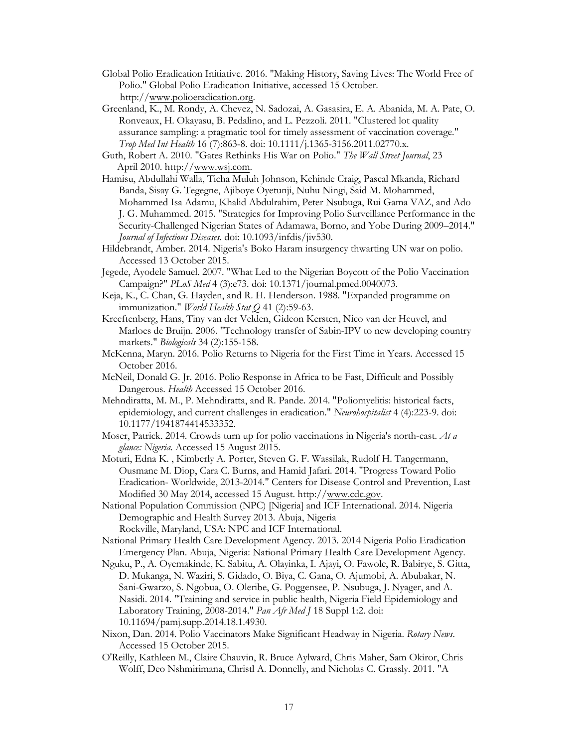- Global Polio Eradication Initiative. 2016. "Making History, Saving Lives: The World Free of Polio." Global Polio Eradication Initiative, accessed 15 October. http://[www.polioeradicati](http://www.polioeradication.org/)on.org.
- Greenland, K., M. Rondy, A. Chevez, N. Sadozai, A. Gasasira, E. A. Abanida, M. A. Pate, O. Ronveaux, H. Okayasu, B. Pedalino, and L. Pezzoli. 2011. "Clustered lot quality assurance sampling: a pragmatic tool for timely assessment of vaccination coverage." *Trop Med Int Health* 16 (7):863-8. doi: 10.1111/j.1365-3156.2011.02770.x.
- Guth, Robert A. 2010. "Gates Rethinks His War on Polio." *The Wall Street Journal*, 23 . April 2010. http://[www.wsj.com.](http://www.wsj.com/)
- Hamisu, Abdullahi Walla, Ticha Muluh Johnson, Kehinde Craig, Pascal Mkanda, Richard Banda, Sisay G. Tegegne, Ajiboye Oyetunji, Nuhu Ningi, Said M. Mohammed, Mohammed Isa Adamu, Khalid Abdulrahim, Peter Nsubuga, Rui Gama VAZ, and Ado J. G. Muhammed. 2015. "Strategies for Improving Polio Surveillance Performance in the Security-Challenged Nigerian States of Adamawa, Borno, and Yobe During 2009–2014." *Journal of Infectious Diseases*. doi: 10.1093/infdis/jiv530.
- Hildebrandt, Amber. 2014. Nigeria's Boko Haram insurgency thwarting UN war on polio. Accessed 13 October 2015.
- Jegede, Ayodele Samuel. 2007. "What Led to the Nigerian Boycott of the Polio Vaccination Campaign?" *PLoS Med* 4 (3):e73. doi: 10.1371/journal.pmed.0040073.
- Keja, K., C. Chan, G. Hayden, and R. H. Henderson. 1988. "Expanded programme on immunization." *World Health Stat Q* 41 (2):59-63.
- Kreeftenberg, Hans, Tiny van der Velden, Gideon Kersten, Nico van der Heuvel, and Marloes de Bruijn. 2006. "Technology transfer of Sabin-IPV to new developing country markets." *Biologicals* 34 (2):155-158.
- McKenna, Maryn. 2016. Polio Returns to Nigeria for the First Time in Years. Accessed 15 October 2016.
- McNeil, Donald G. Jr. 2016. Polio Response in Africa to be Fast, Difficult and Possibly Dangerous. *Health* Accessed 15 October 2016.
- Mehndiratta, M. M., P. Mehndiratta, and R. Pande. 2014. "Poliomyelitis: historical facts, epidemiology, and current challenges in eradication." *Neurohospitalist* 4 (4):223-9. doi: 10.1177/1941874414533352.
- Moser, Patrick. 2014. Crowds turn up for polio vaccinations in Nigeria's north-east. *At a glance: Nigeria*. Accessed 15 August 2015.
- Moturi, Edna K. , Kimberly A. Porter, Steven G. F. Wassilak, Rudolf H. Tangermann, Ousmane M. Diop, Cara C. Burns, and Hamid Jafari. 2014. "Progress Toward Polio Eradication- Worldwide, 2013-2014." Centers for Disease Control and Prevention, Last Modified 30 May 2014, accessed 15 August. http://[www.cdc.gov.](http://www.cdc.gov/)
- National Population Commission (NPC) [Nigeria] and ICF International. 2014. Nigeria Demographic and Health Survey 2013. Abuja, Nigeria Rockville, Maryland, USA: NPC and ICF International.
- National Primary Health Care Development Agency. 2013. 2014 Nigeria Polio Eradication Emergency Plan. Abuja, Nigeria: National Primary Health Care Development Agency.
- Nguku, P., A. Oyemakinde, K. Sabitu, A. Olayinka, I. Ajayi, O. Fawole, R. Babirye, S. Gitta, D. Mukanga, N. Waziri, S. Gidado, O. Biya, C. Gana, O. Ajumobi, A. Abubakar, N. Sani-Gwarzo, S. Ngobua, O. Oleribe, G. Poggensee, P. Nsubuga, J. Nyager, and A. Nasidi. 2014. "Training and service in public health, Nigeria Field Epidemiology and Laboratory Training, 2008-2014." *Pan Afr Med J* 18 Suppl 1:2. doi: 10.11694/pamj.supp.2014.18.1.4930.
- Nixon, Dan. 2014. Polio Vaccinators Make Significant Headway in Nigeria. *Rotary News*. Accessed 15 October 2015.
- O'Reilly, Kathleen M., Claire Chauvin, R. Bruce Aylward, Chris Maher, Sam Okiror, Chris Wolff, Deo Nshmirimana, Christl A. Donnelly, and Nicholas C. Grassly. 2011. "A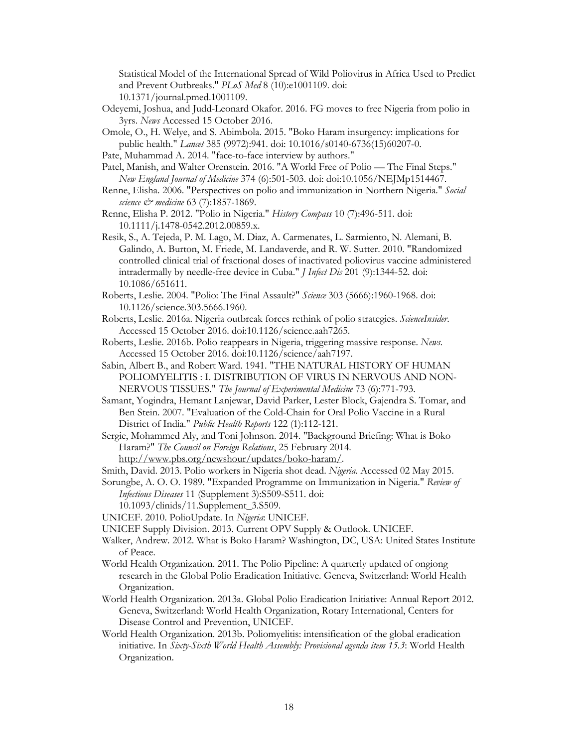Statistical Model of the International Spread of Wild Poliovirus in Africa Used to Predict and Prevent Outbreaks." *PLoS Med* 8 (10):e1001109. doi: 10.1371/journal.pmed.1001109.

- Odeyemi, Joshua, and Judd-Leonard Okafor. 2016. FG moves to free Nigeria from polio in 3yrs. *News* Accessed 15 October 2016.
- Omole, O., H. Welye, and S. Abimbola. 2015. "Boko Haram insurgency: implications for public health." *Lancet* 385 (9972):941. doi: 10.1016/s0140-6736(15)60207-0.
- Pate, Muhammad A. 2014. "face-to-face interview by authors."
- Patel, Manish, and Walter Orenstein. 2016. "A World Free of Polio The Final Steps." *New England Journal of Medicine* 374 (6):501-503. doi: doi:10.1056/NEJMp1514467.
- Renne, Elisha. 2006. "Perspectives on polio and immunization in Northern Nigeria." *Social science*  $\mathcal{Q}$ <sup>*medicine* 63 (7):1857-1869.</sup>

Renne, Elisha P. 2012. "Polio in Nigeria." *History Compass* 10 (7):496-511. doi: 10.1111/j.1478-0542.2012.00859.x.

Resik, S., A. Tejeda, P. M. Lago, M. Diaz, A. Carmenates, L. Sarmiento, N. Alemani, B. Galindo, A. Burton, M. Friede, M. Landaverde, and R. W. Sutter. 2010. "Randomized controlled clinical trial of fractional doses of inactivated poliovirus vaccine administered intradermally by needle-free device in Cuba." *J Infect Dis* 201 (9):1344-52. doi: 10.1086/651611.

- Roberts, Leslie. 2004. "Polio: The Final Assault?" *Science* 303 (5666):1960-1968. doi: 10.1126/science.303.5666.1960.
- Roberts, Leslie. 2016a. Nigeria outbreak forces rethink of polio strategies. *ScienceInsider*. Accessed 15 October 2016. doi:10.1126/science.aah7265.
- Roberts, Leslie. 2016b. Polio reappears in Nigeria, triggering massive response. *News*. Accessed 15 October 2016. doi:10.1126/science/aah7197.
- Sabin, Albert B., and Robert Ward. 1941. "THE NATURAL HISTORY OF HUMAN POLIOMYELITIS : I. DISTRIBUTION OF VIRUS IN NERVOUS AND NON-NERVOUS TISSUES." *The Journal of Experimental Medicine* 73 (6):771-793.

Samant, Yogindra, Hemant Lanjewar, David Parker, Lester Block, Gajendra S. Tomar, and Ben Stein. 2007. "Evaluation of the Cold-Chain for Oral Polio Vaccine in a Rural District of India." *Public Health Reports* 122 (1):112-121.

Sergie, Mohammed Aly, and Toni Johnson. 2014. "Background Briefing: What is Boko Haram?" *The Council on Foreign Relations*, 25 February 2014. [http://www.pbs.org/newshour/updates/boko-haram/.](http://www.pbs.org/newshour/updates/boko-haram/)

Smith, David. 2013. Polio workers in Nigeria shot dead. *Nigeria*. Accessed 02 May 2015.

Sorungbe, A. O. O. 1989. "Expanded Programme on Immunization in Nigeria." *Review of Infectious Diseases* 11 (Supplement 3):S509-S511. doi:

10.1093/clinids/11.Supplement\_3.S509.

- UNICEF. 2010. PolioUpdate. In *Nigeria*: UNICEF.
- UNICEF Supply Division. 2013. Current OPV Supply & Outlook. UNICEF.
- Walker, Andrew. 2012. What is Boko Haram? Washington, DC, USA: United States Institute of Peace.
- World Health Organization. 2011. The Polio Pipeline: A quarterly updated of ongiong research in the Global Polio Eradication Initiative. Geneva, Switzerland: World Health Organization.
- World Health Organization. 2013a. Global Polio Eradication Initiative: Annual Report 2012. Geneva, Switzerland: World Health Organization, Rotary International, Centers for Disease Control and Prevention, UNICEF.
- World Health Organization. 2013b. Poliomyelitis: intensification of the global eradication initiative. In *Sixty-Sixth World Health Assembly: Provisional agenda item 15.3*: World Health Organization.